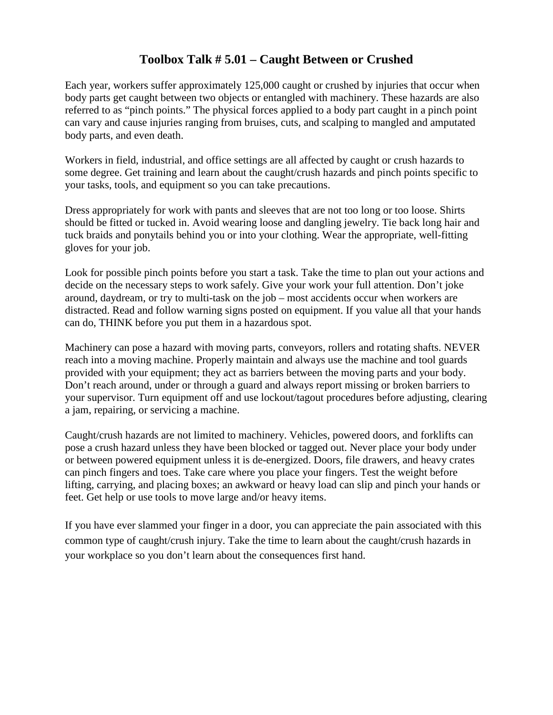## **Toolbox Talk # 5.01 – Caught Between or Crushed**

Each year, workers suffer approximately 125,000 caught or crushed by injuries that occur when body parts get caught between two objects or entangled with machinery. These hazards are also referred to as "pinch points." The physical forces applied to a body part caught in a pinch point can vary and cause injuries ranging from bruises, cuts, and scalping to mangled and amputated body parts, and even death.

Workers in field, industrial, and office settings are all affected by caught or crush hazards to some degree. Get training and learn about the caught/crush hazards and pinch points specific to your tasks, tools, and equipment so you can take precautions.

Dress appropriately for work with pants and sleeves that are not too long or too loose. Shirts should be fitted or tucked in. Avoid wearing loose and dangling jewelry. Tie back long hair and tuck braids and ponytails behind you or into your clothing. Wear the appropriate, well-fitting gloves for your job.

Look for possible pinch points before you start a task. Take the time to plan out your actions and decide on the necessary steps to work safely. Give your work your full attention. Don't joke around, daydream, or try to multi-task on the job – most accidents occur when workers are distracted. Read and follow warning signs posted on equipment. If you value all that your hands can do, THINK before you put them in a hazardous spot.

Machinery can pose a hazard with moving parts, conveyors, rollers and rotating shafts. NEVER reach into a moving machine. Properly maintain and always use the machine and tool guards provided with your equipment; they act as barriers between the moving parts and your body. Don't reach around, under or through a guard and always report missing or broken barriers to your supervisor. Turn equipment off and use lockout/tagout procedures before adjusting, clearing a jam, repairing, or servicing a machine.

Caught/crush hazards are not limited to machinery. Vehicles, powered doors, and forklifts can pose a crush hazard unless they have been blocked or tagged out. Never place your body under or between powered equipment unless it is de-energized. Doors, file drawers, and heavy crates can pinch fingers and toes. Take care where you place your fingers. Test the weight before lifting, carrying, and placing boxes; an awkward or heavy load can slip and pinch your hands or feet. Get help or use tools to move large and/or heavy items.

If you have ever slammed your finger in a door, you can appreciate the pain associated with this common type of caught/crush injury. Take the time to learn about the caught/crush hazards in your workplace so you don't learn about the consequences first hand.